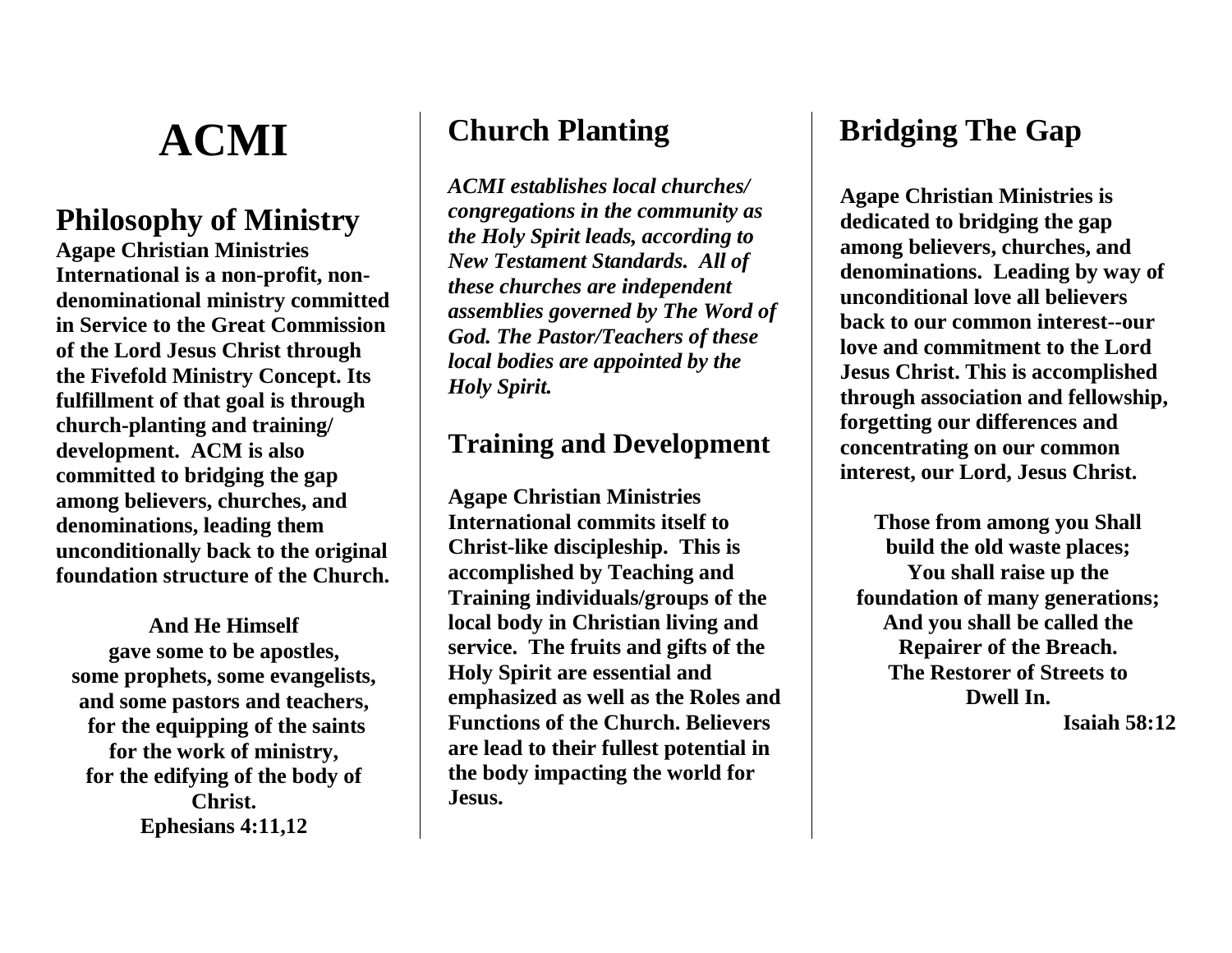# **ACMI**

## **Philosophy of Ministry**

**Agape Christian Ministries International is a non-profit, nondenominational ministry committed in Service to the Great Commission of the Lord Jesus Christ through the Fivefold Ministry Concept. Its fulfillment of that goal is through church-planting and training/ development. ACM is also committed to bridging the gap among believers, churches, and denominations, leading them unconditionally back to the original foundation structure of the Church.** 

**And He Himself gave some to be apostles, some prophets, some evangelists, and some pastors and teachers, for the equipping of the saints for the work of ministry, for the edifying of the body of Christ. Ephesians 4:11,12**

## **Church Planting**

*ACMI establishes local churches/ congregations in the community as the Holy Spirit leads, according to New Testament Standards. All of these churches are independent assemblies governed by The Word of God. The Pastor/Teachers of these local bodies are appointed by the Holy Spirit.*

### **Training and Development**

**Agape Christian Ministries International commits itself to Christ-like discipleship. This is accomplished by Teaching and Training individuals/groups of the local body in Christian living and service. The fruits and gifts of the Holy Spirit are essential and emphasized as well as the Roles and Functions of the Church. Believers are lead to their fullest potential in the body impacting the world for Jesus.**

## **Bridging The Gap**

**Agape Christian Ministries is dedicated to bridging the gap among believers, churches, and denominations. Leading by way of unconditional love all believers back to our common interest--our love and commitment to the Lord Jesus Christ. This is accomplished through association and fellowship, forgetting our differences and concentrating on our common interest, our Lord, Jesus Christ.**

**Those from among you Shall build the old waste places; You shall raise up the foundation of many generations; And you shall be called the Repairer of the Breach. The Restorer of Streets to Dwell In.**

**Isaiah 58:12**